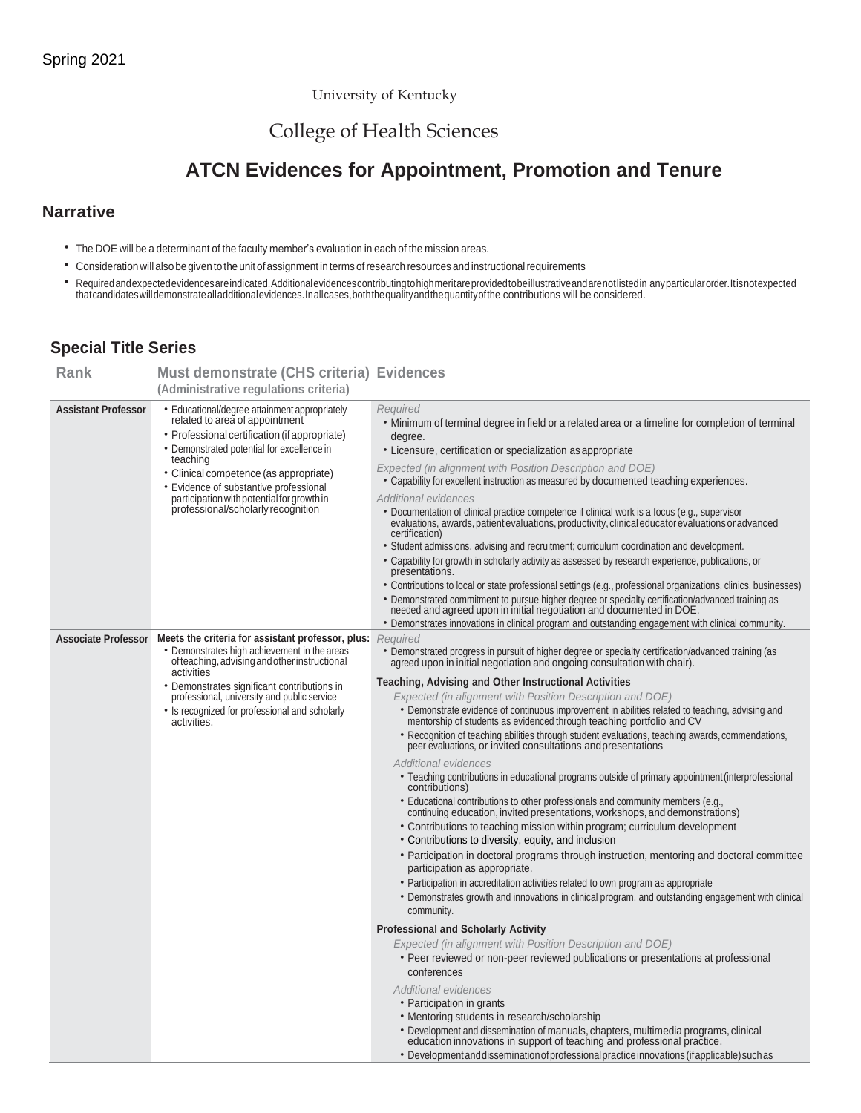University of Kentucky

## College of Health Sciences

# **ATCN Evidences for Appointment, Promotion and Tenure**

#### **Narrative**

- The DOE will be a determinant of the faculty member's evaluation in each of the mission areas.
- Consideration will also be given to the unit of assignment in terms of research resources and instructional requirements
- Required and expected evidences are indicated. Additional evidences contributing to high meritare provided to be illustrative and are not listed in any particular order. It is not expected<br>that candidates will demonstrat

### **Special Title Series**

| Rank                       | <b>Must demonstrate (CHS criteria) Evidences</b>                                                                                                                                                                                                                                                                                                                   |                                                                                                                                                                                                                                                                                                                                                                                                                                                                                                                                                                                                                                                                                                                                                                                                                                                                                                                                                                                                                                                                                                                                                                                                                                                                                                                                                                                     |
|----------------------------|--------------------------------------------------------------------------------------------------------------------------------------------------------------------------------------------------------------------------------------------------------------------------------------------------------------------------------------------------------------------|-------------------------------------------------------------------------------------------------------------------------------------------------------------------------------------------------------------------------------------------------------------------------------------------------------------------------------------------------------------------------------------------------------------------------------------------------------------------------------------------------------------------------------------------------------------------------------------------------------------------------------------------------------------------------------------------------------------------------------------------------------------------------------------------------------------------------------------------------------------------------------------------------------------------------------------------------------------------------------------------------------------------------------------------------------------------------------------------------------------------------------------------------------------------------------------------------------------------------------------------------------------------------------------------------------------------------------------------------------------------------------------|
|                            | (Administrative regulations criteria)                                                                                                                                                                                                                                                                                                                              |                                                                                                                                                                                                                                                                                                                                                                                                                                                                                                                                                                                                                                                                                                                                                                                                                                                                                                                                                                                                                                                                                                                                                                                                                                                                                                                                                                                     |
| <b>Assistant Professor</b> | · Educational/degree attainment appropriately<br>related to area of appointment<br>• Professional certification (if appropriate)<br>• Demonstrated potential for excellence in<br>teaching<br>• Clinical competence (as appropriate)<br>• Evidence of substantive professional<br>participation with potential for growth in<br>professional/scholarly recognition | Required<br>• Minimum of terminal degree in field or a related area or a timeline for completion of terminal<br>degree.<br>• Licensure, certification or specialization as appropriate<br>Expected (in alignment with Position Description and DOE)<br>• Capability for excellent instruction as measured by documented teaching experiences.<br><b>Additional evidences</b><br>• Documentation of clinical practice competence if clinical work is a focus (e.g., supervisor<br>evaluations, awards, patient evaluations, productivity, clinical educator evaluations or advanced<br>certification)<br>• Student admissions, advising and recruitment; curriculum coordination and development.<br>• Capability for growth in scholarly activity as assessed by research experience, publications, or<br>presentations.<br>• Contributions to local or state professional settings (e.g., professional organizations, clinics, businesses)<br>• Demonstrated commitment to pursue higher degree or specialty certification/advanced training as needed and agreed upon in initial negotiation and documented in DOE.                                                                                                                                                                                                                                                               |
|                            |                                                                                                                                                                                                                                                                                                                                                                    | • Demonstrates innovations in clinical program and outstanding engagement with clinical community.                                                                                                                                                                                                                                                                                                                                                                                                                                                                                                                                                                                                                                                                                                                                                                                                                                                                                                                                                                                                                                                                                                                                                                                                                                                                                  |
| <b>Associate Professor</b> | Meets the criteria for assistant professor, plus:<br>• Demonstrates high achievement in the areas<br>of teaching, advising and other instructional<br>activities<br>• Demonstrates significant contributions in<br>professional, university and public service<br>• Is recognized for professional and scholarly<br>activities.                                    | Required<br>• Demonstrated progress in pursuit of higher degree or specialty certification/advanced training (as<br>agreed upon in initial negotiation and ongoing consultation with chair).<br><b>Teaching, Advising and Other Instructional Activities</b><br>Expected (in alignment with Position Description and DOE)<br>• Demonstrate evidence of continuous improvement in abilities related to teaching, advising and<br>mentorship of students as evidenced through teaching portfolio and CV                                                                                                                                                                                                                                                                                                                                                                                                                                                                                                                                                                                                                                                                                                                                                                                                                                                                               |
|                            |                                                                                                                                                                                                                                                                                                                                                                    | • Recognition of teaching abilities through student evaluations, teaching awards, commendations,<br>peer evaluations, or invited consultations and presentations<br>Additional evidences<br>• Teaching contributions in educational programs outside of primary appointment (interprofessional<br>contributions)<br>• Educational contributions to other professionals and community members (e.g.,<br>continuing education, invited presentations, workshops, and demonstrations)<br>• Contributions to teaching mission within program; curriculum development<br>• Contributions to diversity, equity, and inclusion<br>• Participation in doctoral programs through instruction, mentoring and doctoral committee<br>participation as appropriate.<br>• Participation in accreditation activities related to own program as appropriate<br>• Demonstrates growth and innovations in clinical program, and outstanding engagement with clinical<br>community.<br><b>Professional and Scholarly Activity</b><br>Expected (in alignment with Position Description and DOE)<br>• Peer reviewed or non-peer reviewed publications or presentations at professional<br>conferences<br><b>Additional evidences</b><br>• Participation in grants<br>• Mentoring students in research/scholarship<br>• Development and dissemination of manuals, chapters, multimedia programs, clinical |
|                            |                                                                                                                                                                                                                                                                                                                                                                    | education innovations in support of teaching and professional practice.<br>• Development and dissemination of professional practice innovations (if applicable) such as                                                                                                                                                                                                                                                                                                                                                                                                                                                                                                                                                                                                                                                                                                                                                                                                                                                                                                                                                                                                                                                                                                                                                                                                             |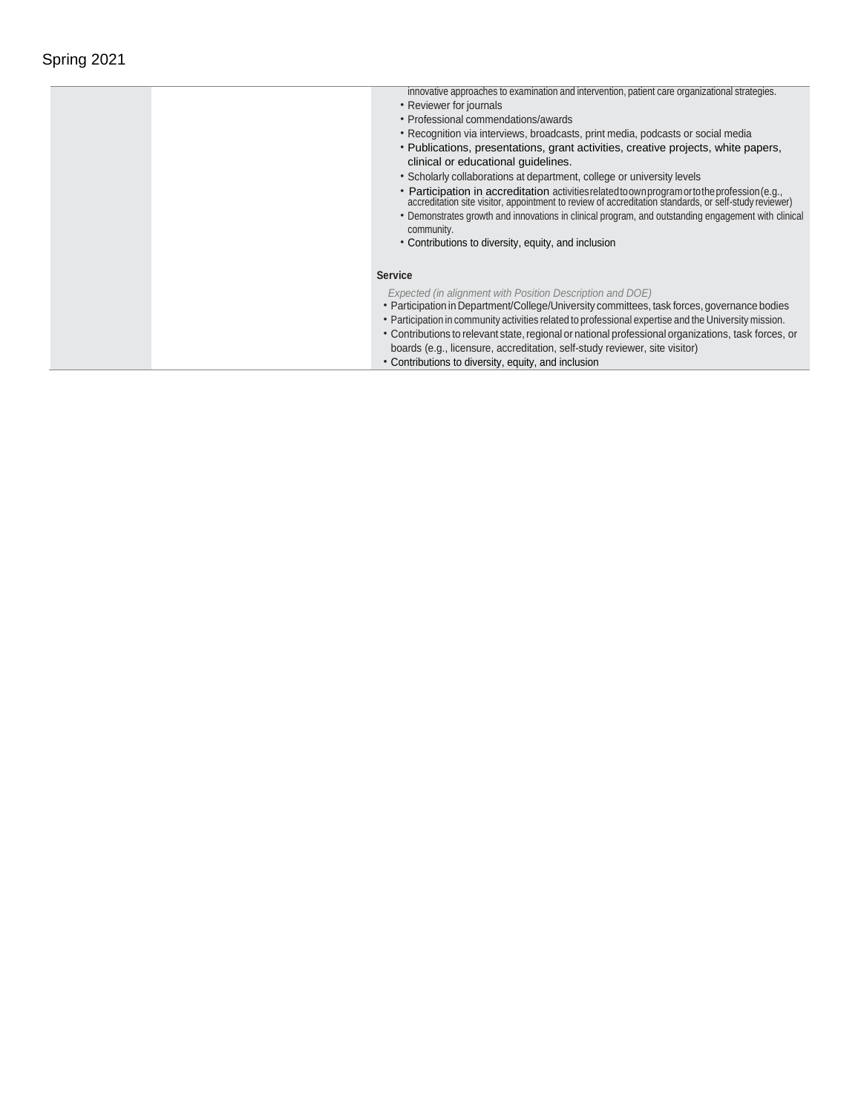| innovative approaches to examination and intervention, patient care organizational strategies.                                                                                                          |
|---------------------------------------------------------------------------------------------------------------------------------------------------------------------------------------------------------|
| • Reviewer for journals                                                                                                                                                                                 |
| • Professional commendations/awards                                                                                                                                                                     |
| • Recognition via interviews, broadcasts, print media, podcasts or social media                                                                                                                         |
| • Publications, presentations, grant activities, creative projects, white papers,                                                                                                                       |
| clinical or educational guidelines.                                                                                                                                                                     |
| • Scholarly collaborations at department, college or university levels                                                                                                                                  |
| • Participation in accreditation activities related to own program or to the profession (e.g.,<br>accreditation site visitor, appointment to review of accreditation standards, or self-study reviewer) |
| • Demonstrates growth and innovations in clinical program, and outstanding engagement with clinical                                                                                                     |
| community.                                                                                                                                                                                              |
| • Contributions to diversity, equity, and inclusion                                                                                                                                                     |
|                                                                                                                                                                                                         |
| <b>Service</b>                                                                                                                                                                                          |
| Expected (in alignment with Position Description and DOE)                                                                                                                                               |
| • Participation in Department/College/University committees, task forces, governance bodies                                                                                                             |
| • Participation in community activities related to professional expertise and the University mission.                                                                                                   |
| • Contributions to relevant state, regional or national professional organizations, task forces, or                                                                                                     |
| boards (e.g., licensure, accreditation, self-study reviewer, site visitor)                                                                                                                              |
| • Contributions to diversity, equity, and inclusion                                                                                                                                                     |